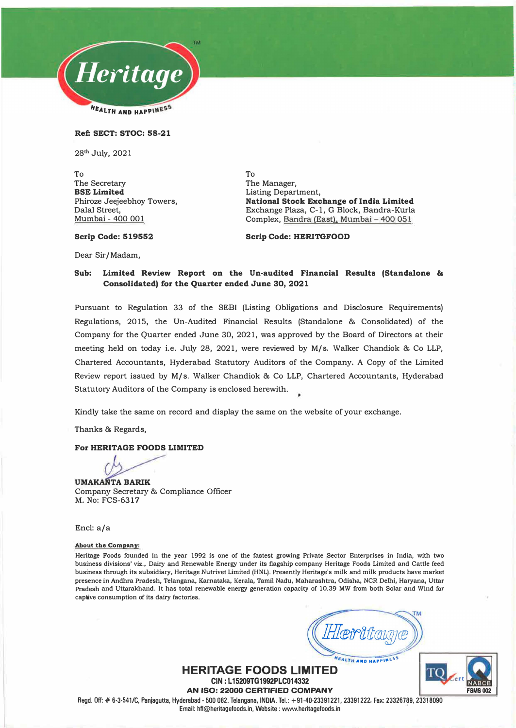

#### Ref: SECT: STOC: 58-21

28**th** July, 2021

To The Secretary BSE Limited Phiroze Jeejeebhoy Towers, Dalal Street, Mumbai - 400 001

To The Manager, Listing Department, National Stock Exchange of India Limited Exchange Plaza, C-1, G Block, Bandra-Kurla Complex, Bandra (East), Mumbai - 400 051

#### Scrip Code: 519552

Scrip Code: HERITGFOOD

Dear Sir/Madam,

#### Sub: Limited Review Report on the Un-audited Financial Results (Standalone & Consolidated) for the Quarter ended June 30, 2021

Pursuant to Regulation 33 of the SEBI (Listing Obligations and Disclosure Requirements) Regulations, 2015, the Un-Audited Financial Results (Standalone & Consolidated) of the Company for the Quarter ended June 30, 2021, was approved by the Board of Directors at their meeting held on today i.e. July 28, 2021, were reviewed by M/s. Walker Chandiok & Co LLP, Chartered Accountants, Hyderabad Statutory Auditors of the Company. A Copy of the Limited Review report issued by M/s. Walker Chandiok & Co LLP, Chartered Accountants, Hyderabad Statutory Auditors of the Company is enclosed herewith.

Kindly take the same on record and display the same on the website of your exchange.

Thanks & Regards,

#### For HERITAGE FOODS LIMITED

UMAKANTA BARIK Company Secretary & Compliance Officer M. No: FCS-6317

Encl: a/a

#### **About the Company:**

**Heritage Foods founded in the year 1992 is one of the fastest growing Private Sector Enterprises in India, with two business divisions' viz., Dairy and Renewable Energy under its flagship company Heritage Foods Limited and Cattle feed business through its subsidiary, Heritage Nutrivet Limited (HNL). Presently Heritage's milk and milk products have market presence in Andhra Pradesh, Telangana, Kamataka, Kerala, Tamil Nadu, Maharashtra, Odisha, NCR Delhi, Haryana, Uttar Pradesh and Uttarakhand. It has total renewable energy generation capacity of 10.39 MW from both Solar and Wind for captive consumption of its dairy factories.** 

FALTH AND HAPPINESS

TО **FSMS002** 

**HERITAGE FOODS LIMITED CIN : L 15209TG1992PLC014332 AN ISO: 22000 CERTIFIED COMPANY** 

Regd. Off:# 6-3-541/C, Panjagutta, Hyderabad - 500 082. Telangana, INDIA. Tel.: +91-40-23391221, 23391222, Fax: 23326789, 23318090 Email: hfl@heritagefoods.in, Website : www.heritagefoods.in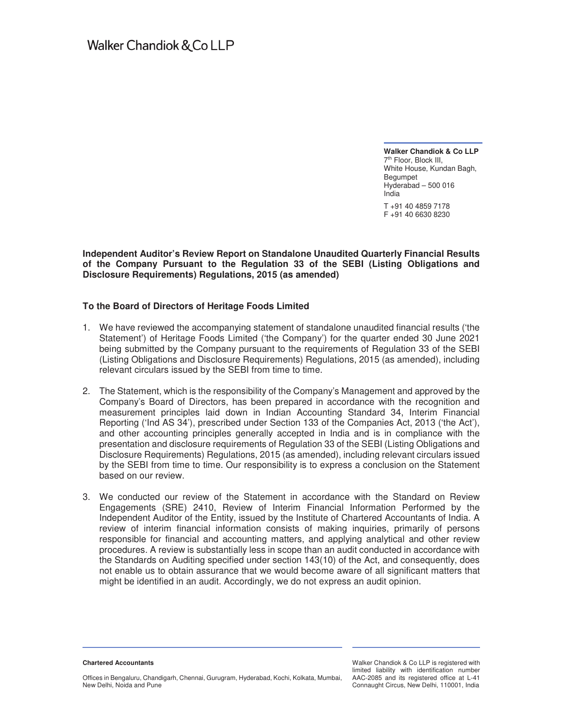**Walker Chandiok & Co LLP**  7<sup>th</sup> Floor, Block III, White House, Kundan Bagh, Begumpet Hyderabad – 500 016 India

T +91 40 4859 7178 F +91 40 6630 8230

#### **Independent Auditor's Review Report on Standalone Unaudited Quarterly Financial Results of the Company Pursuant to the Regulation 33 of the SEBI (Listing Obligations and Disclosure Requirements) Regulations, 2015 (as amended)**

### **To the Board of Directors of Heritage Foods Limited**

- 1. We have reviewed the accompanying statement of standalone unaudited financial results ('the Statement') of Heritage Foods Limited ('the Company') for the quarter ended 30 June 2021 being submitted by the Company pursuant to the requirements of Regulation 33 of the SEBI (Listing Obligations and Disclosure Requirements) Regulations, 2015 (as amended), including relevant circulars issued by the SEBI from time to time.
- 2. The Statement, which is the responsibility of the Company's Management and approved by the Company's Board of Directors, has been prepared in accordance with the recognition and measurement principles laid down in Indian Accounting Standard 34, Interim Financial Reporting ('Ind AS 34'), prescribed under Section 133 of the Companies Act, 2013 ('the Act'), and other accounting principles generally accepted in India and is in compliance with the presentation and disclosure requirements of Regulation 33 of the SEBI (Listing Obligations and Disclosure Requirements) Regulations, 2015 (as amended), including relevant circulars issued by the SEBI from time to time. Our responsibility is to express a conclusion on the Statement based on our review.
- 3. We conducted our review of the Statement in accordance with the Standard on Review Engagements (SRE) 2410, Review of Interim Financial Information Performed by the Independent Auditor of the Entity, issued by the Institute of Chartered Accountants of India. A review of interim financial information consists of making inquiries, primarily of persons responsible for financial and accounting matters, and applying analytical and other review procedures. A review is substantially less in scope than an audit conducted in accordance with the Standards on Auditing specified under section 143(10) of the Act, and consequently, does not enable us to obtain assurance that we would become aware of all significant matters that might be identified in an audit. Accordingly, we do not express an audit opinion.

**Chartered Accountants** 

Walker Chandiok & Co LLP is registered with limited liability with identification number AAC-2085 and its registered office at L-41 Connaught Circus, New Delhi, 110001, India

Offices in Bengaluru, Chandigarh, Chennai, Gurugram, Hyderabad, Kochi, Kolkata, Mumbai, New Delhi, Noida and Pune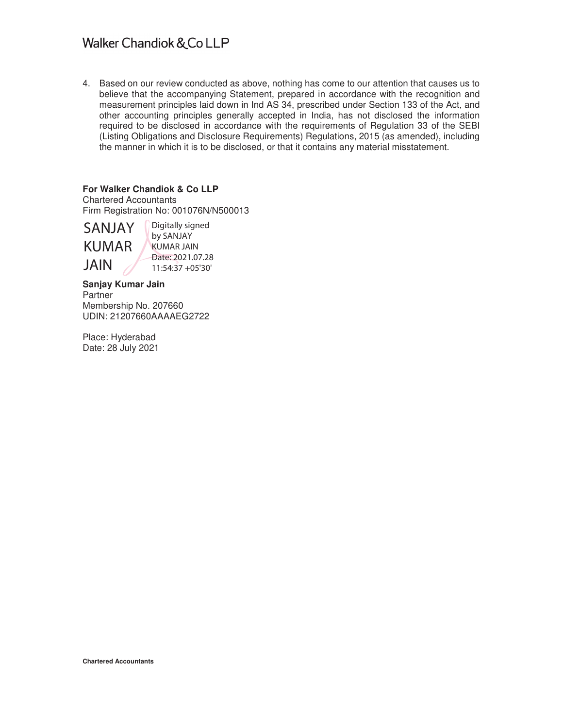# Walker Chandiok & Co LLP

4. Based on our review conducted as above, nothing has come to our attention that causes us to believe that the accompanying Statement, prepared in accordance with the recognition and measurement principles laid down in Ind AS 34, prescribed under Section 133 of the Act, and other accounting principles generally accepted in India, has not disclosed the information required to be disclosed in accordance with the requirements of Regulation 33 of the SEBI (Listing Obligations and Disclosure Requirements) Regulations, 2015 (as amended), including the manner in which it is to be disclosed, or that it contains any material misstatement.

## **For Walker Chandiok & Co LLP**

Chartered Accountants Firm Registration No: 001076N/N500013

# SANJAY KUMAR JAIN

Digitally signed by SANJAY KUMAR JAIN Date: 2021.07.28 11:54:37 +05'30'

**Sanjay Kumar Jain**  Partner Membership No. 207660 UDIN: 21207660AAAAEG2722

Place: Hyderabad Date: 28 July 2021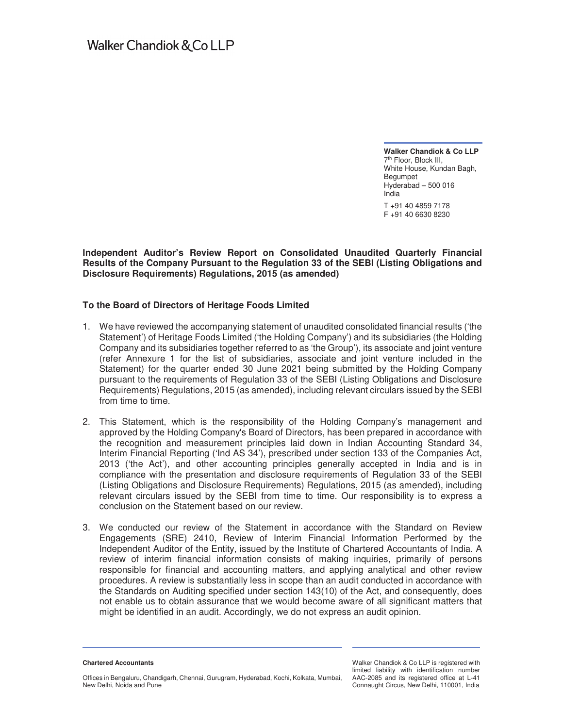**Walker Chandiok & Co LLP**  7<sup>th</sup> Floor, Block III, White House, Kundan Bagh, Begumpet Hyderabad – 500 016 India

T +91 40 4859 7178 F +91 40 6630 8230

### **Independent Auditor's Review Report on Consolidated Unaudited Quarterly Financial Results of the Company Pursuant to the Regulation 33 of the SEBI (Listing Obligations and Disclosure Requirements) Regulations, 2015 (as amended)**

### **To the Board of Directors of Heritage Foods Limited**

- 1. We have reviewed the accompanying statement of unaudited consolidated financial results ('the Statement') of Heritage Foods Limited ('the Holding Company') and its subsidiaries (the Holding Company and its subsidiaries together referred to as 'the Group'), its associate and joint venture (refer Annexure 1 for the list of subsidiaries, associate and joint venture included in the Statement) for the quarter ended 30 June 2021 being submitted by the Holding Company pursuant to the requirements of Regulation 33 of the SEBI (Listing Obligations and Disclosure Requirements) Regulations, 2015 (as amended), including relevant circulars issued by the SEBI from time to time.
- 2. This Statement, which is the responsibility of the Holding Company's management and approved by the Holding Company's Board of Directors, has been prepared in accordance with the recognition and measurement principles laid down in Indian Accounting Standard 34, Interim Financial Reporting ('Ind AS 34'), prescribed under section 133 of the Companies Act, 2013 ('the Act'), and other accounting principles generally accepted in India and is in compliance with the presentation and disclosure requirements of Regulation 33 of the SEBI (Listing Obligations and Disclosure Requirements) Regulations, 2015 (as amended), including relevant circulars issued by the SEBI from time to time. Our responsibility is to express a conclusion on the Statement based on our review.
- 3. We conducted our review of the Statement in accordance with the Standard on Review Engagements (SRE) 2410, Review of Interim Financial Information Performed by the Independent Auditor of the Entity, issued by the Institute of Chartered Accountants of India. A review of interim financial information consists of making inquiries, primarily of persons responsible for financial and accounting matters, and applying analytical and other review procedures. A review is substantially less in scope than an audit conducted in accordance with the Standards on Auditing specified under section 143(10) of the Act, and consequently, does not enable us to obtain assurance that we would become aware of all significant matters that might be identified in an audit. Accordingly, we do not express an audit opinion.

**Chartered Accountants** 

Offices in Bengaluru, Chandigarh, Chennai, Gurugram, Hyderabad, Kochi, Kolkata, Mumbai, New Delhi, Noida and Pune

Walker Chandiok & Co LLP is registered with limited liability with identification number AAC-2085 and its registered office at L-41 Connaught Circus, New Delhi, 110001, India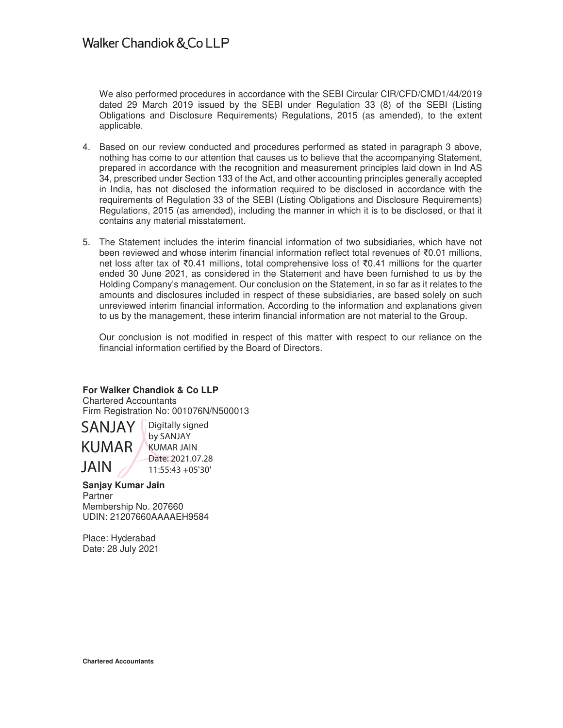We also performed procedures in accordance with the SEBI Circular CIR/CFD/CMD1/44/2019 dated 29 March 2019 issued by the SEBI under Regulation 33 (8) of the SEBI (Listing Obligations and Disclosure Requirements) Regulations, 2015 (as amended), to the extent applicable.

- 4. Based on our review conducted and procedures performed as stated in paragraph 3 above, nothing has come to our attention that causes us to believe that the accompanying Statement, prepared in accordance with the recognition and measurement principles laid down in Ind AS 34, prescribed under Section 133 of the Act, and other accounting principles generally accepted in India, has not disclosed the information required to be disclosed in accordance with the requirements of Regulation 33 of the SEBI (Listing Obligations and Disclosure Requirements) Regulations, 2015 (as amended), including the manner in which it is to be disclosed, or that it contains any material misstatement.
- 5. The Statement includes the interim financial information of two subsidiaries, which have not been reviewed and whose interim financial information reflect total revenues of  $\bar{\tau}0.01$  millions, net loss after tax of  $\overline{60.41}$  millions, total comprehensive loss of  $\overline{60.41}$  millions for the quarter ended 30 June 2021, as considered in the Statement and have been furnished to us by the Holding Company's management. Our conclusion on the Statement, in so far as it relates to the amounts and disclosures included in respect of these subsidiaries, are based solely on such unreviewed interim financial information. According to the information and explanations given to us by the management, these interim financial information are not material to the Group.

Our conclusion is not modified in respect of this matter with respect to our reliance on the financial information certified by the Board of Directors.

## **For Walker Chandiok & Co LLP**

Chartered Accountants Firm Registration No: 001076N/N500013

 SANJAY KUMAR JAIN

Digitally signed by SANJAY KUMAR JAIN Date: 2021.07.28 11:55:43 +05'30'

## **Sanjay Kumar Jain**

**Partner** Membership No. 207660 UDIN: 21207660AAAAEH9584

Place: Hyderabad Date: 28 July 2021